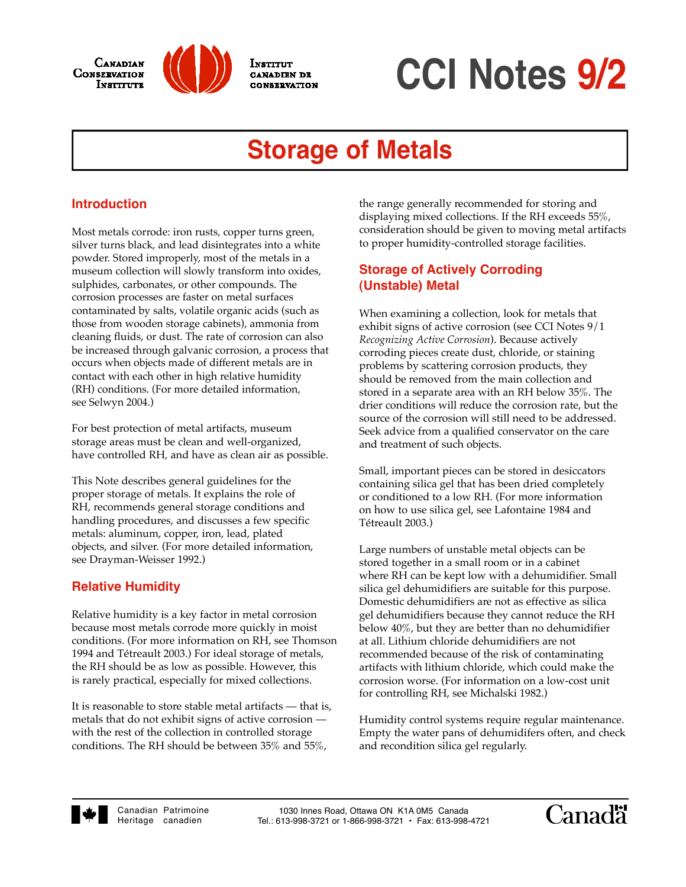



INSTITUT CANADIRN DR CONSERVATION

# **CCI Notes 9/2**

# **Storage of Metals**

# **Introduction**

Most metals corrode: iron rusts, copper turns green, silver turns black, and lead disintegrates into a white powder. Stored improperly, most of the metals in a museum collection will slowly transform into oxides, sulphides, carbonates, or other compounds. The corrosion processes are faster on metal surfaces contaminated by salts, volatile organic acids (such as those from wooden storage cabinets), ammonia from cleaning fluids, or dust. The rate of corrosion can also be increased through galvanic corrosion, a process that occurs when objects made of different metals are in contact with each other in high relative humidity (RH) conditions. (For more detailed information, see Selwyn 2004.)

For best protection of metal artifacts, museum storage areas must be clean and well-organized, have controlled RH, and have as clean air as possible.

This Note describes general guidelines for the proper storage of metals. It explains the role of RH, recommends general storage conditions and handling procedures, and discusses a few specific metals: aluminum, copper, iron, lead, plated objects, and silver. (For more detailed information, see Drayman-Weisser 1992.)

# **Relative Humidity**

Relative humidity is a key factor in metal corrosion because most metals corrode more quickly in moist conditions. (For more information on RH, see Thomson 1994 and Tétreault 2003.) For ideal storage of metals, the RH should be as low as possible. However, this is rarely practical, especially for mixed collections.

It is reasonable to store stable metal artifacts — that is, metals that do not exhibit signs of active corrosion with the rest of the collection in controlled storage conditions. The RH should be between 35% and 55%,

the range generally recommended for storing and displaying mixed collections. If the RH exceeds 55%, consideration should be given to moving metal artifacts to proper humidity-controlled storage facilities.

# **Storage of Actively Corroding (Unstable) Metal**

When examining a collection, look for metals that exhibit signs of active corrosion (see CCI Notes 9/1 *Recognizing Active Corrosion*). Because actively corroding pieces create dust, chloride, or staining problems by scattering corrosion products, they should be removed from the main collection and stored in a separate area with an RH below 35%. The drier conditions will reduce the corrosion rate, but the source of the corrosion will still need to be addressed. Seek advice from a qualified conservator on the care and treatment of such objects.

Small, important pieces can be stored in desiccators containing silica gel that has been dried completely or conditioned to a low RH. (For more information on how to use silica gel, see Lafontaine 1984 and Tétreault 2003.)

Large numbers of unstable metal objects can be stored together in a small room or in a cabinet where RH can be kept low with a dehumidifier. Small silica gel dehumidifiers are suitable for this purpose. Domestic dehumidifiers are not as effective as silica gel dehumidifiers because they cannot reduce the RH below 40%, but they are better than no dehumidifier at all. Lithium chloride dehumidifiers are not recommended because of the risk of contaminating artifacts with lithium chloride, which could make the corrosion worse. (For information on a low-cost unit for controlling RH, see Michalski 1982.)

Humidity control systems require regular maintenance. Empty the water pans of dehumidifers often, and check and recondition silica gel regularly.



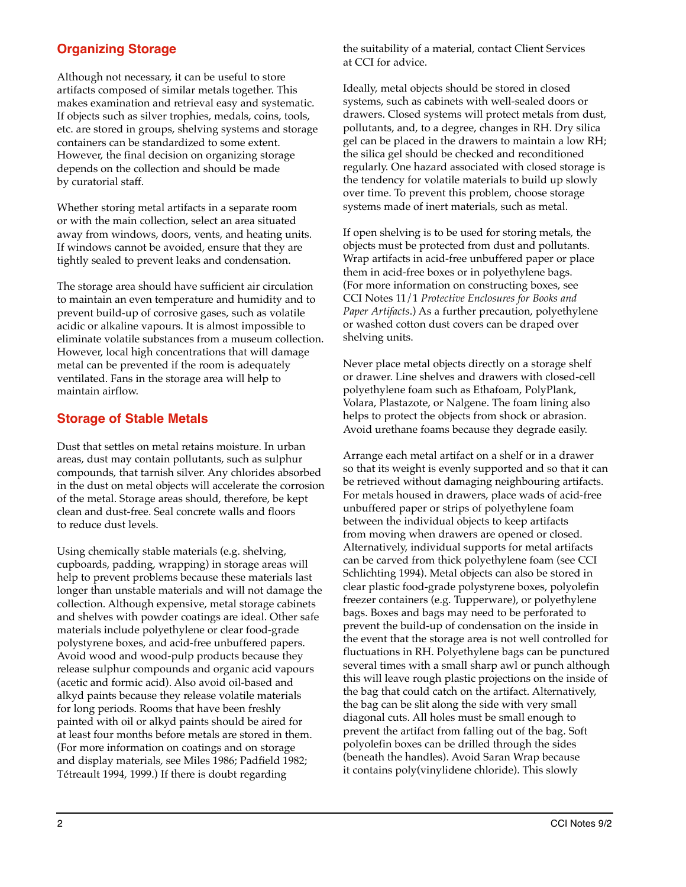# **Organizing Storage**

Although not necessary, it can be useful to store artifacts composed of similar metals together. This makes examination and retrieval easy and systematic. If objects such as silver trophies, medals, coins, tools, etc. are stored in groups, shelving systems and storage containers can be standardized to some extent. However, the final decision on organizing storage depends on the collection and should be made by curatorial staff.

Whether storing metal artifacts in a separate room or with the main collection, select an area situated away from windows, doors, vents, and heating units. If windows cannot be avoided, ensure that they are tightly sealed to prevent leaks and condensation.

The storage area should have sufficient air circulation to maintain an even temperature and humidity and to prevent build-up of corrosive gases, such as volatile acidic or alkaline vapours. It is almost impossible to eliminate volatile substances from a museum collection. However, local high concentrations that will damage metal can be prevented if the room is adequately ventilated. Fans in the storage area will help to maintain airflow.

## **Storage of Stable Metals**

Dust that settles on metal retains moisture. In urban areas, dust may contain pollutants, such as sulphur compounds, that tarnish silver. Any chlorides absorbed in the dust on metal objects will accelerate the corrosion of the metal. Storage areas should, therefore, be kept clean and dust-free. Seal concrete walls and floors to reduce dust levels.

Using chemically stable materials (e.g. shelving, cupboards, padding, wrapping) in storage areas will help to prevent problems because these materials last longer than unstable materials and will not damage the collection. Although expensive, metal storage cabinets and shelves with powder coatings are ideal. Other safe materials include polyethylene or clear food-grade polystyrene boxes, and acid-free unbuffered papers. Avoid wood and wood-pulp products because they release sulphur compounds and organic acid vapours (acetic and formic acid). Also avoid oil-based and alkyd paints because they release volatile materials for long periods. Rooms that have been freshly painted with oil or alkyd paints should be aired for at least four months before metals are stored in them. (For more information on coatings and on storage and display materials, see Miles 1986; Padfield 1982; Tétreault 1994, 1999.) If there is doubt regarding

the suitability of a material, contact Client Services at CCI for advice.

Ideally, metal objects should be stored in closed systems, such as cabinets with well-sealed doors or drawers. Closed systems will protect metals from dust, pollutants, and, to a degree, changes in RH. Dry silica gel can be placed in the drawers to maintain a low RH; the silica gel should be checked and reconditioned regularly. One hazard associated with closed storage is the tendency for volatile materials to build up slowly over time. To prevent this problem, choose storage systems made of inert materials, such as metal.

If open shelving is to be used for storing metals, the objects must be protected from dust and pollutants. Wrap artifacts in acid-free unbuffered paper or place them in acid-free boxes or in polyethylene bags. (For more information on constructing boxes, see CCI Notes 11/1 *Protective Enclosures for Books and Paper Artifacts*.) As a further precaution, polyethylene or washed cotton dust covers can be draped over shelving units.

Never place metal objects directly on a storage shelf or drawer. Line shelves and drawers with closed-cell polyethylene foam such as Ethafoam, PolyPlank, Volara, Plastazote, or Nalgene. The foam lining also helps to protect the objects from shock or abrasion. Avoid urethane foams because they degrade easily.

Arrange each metal artifact on a shelf or in a drawer so that its weight is evenly supported and so that it can be retrieved without damaging neighbouring artifacts. For metals housed in drawers, place wads of acid-free unbuffered paper or strips of polyethylene foam between the individual objects to keep artifacts from moving when drawers are opened or closed. Alternatively, individual supports for metal artifacts can be carved from thick polyethylene foam (see CCI Schlichting 1994). Metal objects can also be stored in clear plastic food-grade polystyrene boxes, polyolefin freezer containers (e.g. Tupperware), or polyethylene bags. Boxes and bags may need to be perforated to prevent the build-up of condensation on the inside in the event that the storage area is not well controlled for fluctuations in RH. Polyethylene bags can be punctured several times with a small sharp awl or punch although this will leave rough plastic projections on the inside of the bag that could catch on the artifact. Alternatively, the bag can be slit along the side with very small diagonal cuts. All holes must be small enough to prevent the artifact from falling out of the bag. Soft polyolefin boxes can be drilled through the sides (beneath the handles). Avoid Saran Wrap because it contains poly(vinylidene chloride). This slowly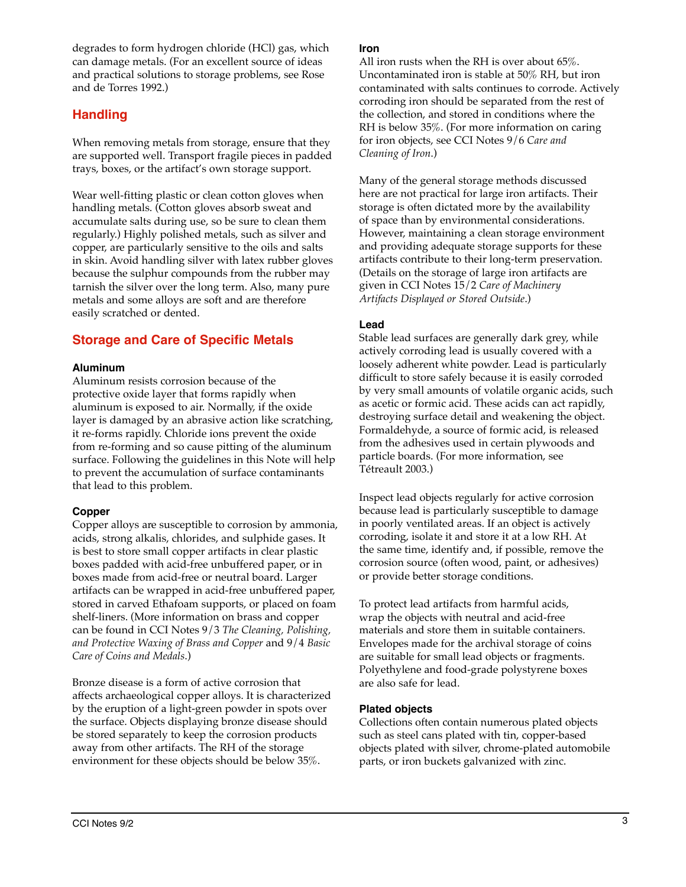degrades to form hydrogen chloride (HCl) gas, which can damage metals. (For an excellent source of ideas and practical solutions to storage problems, see Rose and de Torres 1992.)

# **Handling**

When removing metals from storage, ensure that they are supported well. Transport fragile pieces in padded trays, boxes, or the artifact's own storage support.

Wear well-fitting plastic or clean cotton gloves when handling metals. (Cotton gloves absorb sweat and accumulate salts during use, so be sure to clean them regularly.) Highly polished metals, such as silver and copper, are particularly sensitive to the oils and salts in skin. Avoid handling silver with latex rubber gloves because the sulphur compounds from the rubber may tarnish the silver over the long term. Also, many pure metals and some alloys are soft and are therefore easily scratched or dented.

# **Storage and Care of Specific Metals**

#### **Aluminum**

Aluminum resists corrosion because of the protective oxide layer that forms rapidly when aluminum is exposed to air. Normally, if the oxide layer is damaged by an abrasive action like scratching, it re-forms rapidly. Chloride ions prevent the oxide from re-forming and so cause pitting of the aluminum surface. Following the guidelines in this Note will help to prevent the accumulation of surface contaminants that lead to this problem.

#### **Copper**

Copper alloys are susceptible to corrosion by ammonia, acids, strong alkalis, chlorides, and sulphide gases. It is best to store small copper artifacts in clear plastic boxes padded with acid-free unbuffered paper, or in boxes made from acid-free or neutral board. Larger artifacts can be wrapped in acid-free unbuffered paper, stored in carved Ethafoam supports, or placed on foam shelf-liners. (More information on brass and copper can be found in CCI Notes 9/3 *The Cleaning, Polishing, and Protective Waxing of Brass and Copper* and 9/4 *Basic Care of Coins and Medals*.)

Bronze disease is a form of active corrosion that affects archaeological copper alloys. It is characterized by the eruption of a light-green powder in spots over the surface. Objects displaying bronze disease should be stored separately to keep the corrosion products away from other artifacts. The RH of the storage environment for these objects should be below 35%.

#### **Iron**

All iron rusts when the RH is over about 65%. Uncontaminated iron is stable at 50% RH, but iron contaminated with salts continues to corrode. Actively corroding iron should be separated from the rest of the collection, and stored in conditions where the RH is below 35%. (For more information on caring for iron objects, see CCI Notes 9/6 *Care and Cleaning of Iron*.)

Many of the general storage methods discussed here are not practical for large iron artifacts. Their storage is often dictated more by the availability of space than by environmental considerations. However, maintaining a clean storage environment and providing adequate storage supports for these artifacts contribute to their long-term preservation. (Details on the storage of large iron artifacts are given in CCI Notes 15/2 *Care of Machinery Artifacts Displayed or Stored Outside*.)

#### **Lead**

Stable lead surfaces are generally dark grey, while actively corroding lead is usually covered with a loosely adherent white powder. Lead is particularly difficult to store safely because it is easily corroded by very small amounts of volatile organic acids, such as acetic or formic acid. These acids can act rapidly, destroying surface detail and weakening the object. Formaldehyde, a source of formic acid, is released from the adhesives used in certain plywoods and particle boards. (For more information, see Tétreault 2003.)

Inspect lead objects regularly for active corrosion because lead is particularly susceptible to damage in poorly ventilated areas. If an object is actively corroding, isolate it and store it at a low RH. At the same time, identify and, if possible, remove the corrosion source (often wood, paint, or adhesives) or provide better storage conditions.

To protect lead artifacts from harmful acids, wrap the objects with neutral and acid-free materials and store them in suitable containers. Envelopes made for the archival storage of coins are suitable for small lead objects or fragments. Polyethylene and food-grade polystyrene boxes are also safe for lead.

#### **Plated objects**

Collections often contain numerous plated objects such as steel cans plated with tin, copper-based objects plated with silver, chrome-plated automobile parts, or iron buckets galvanized with zinc.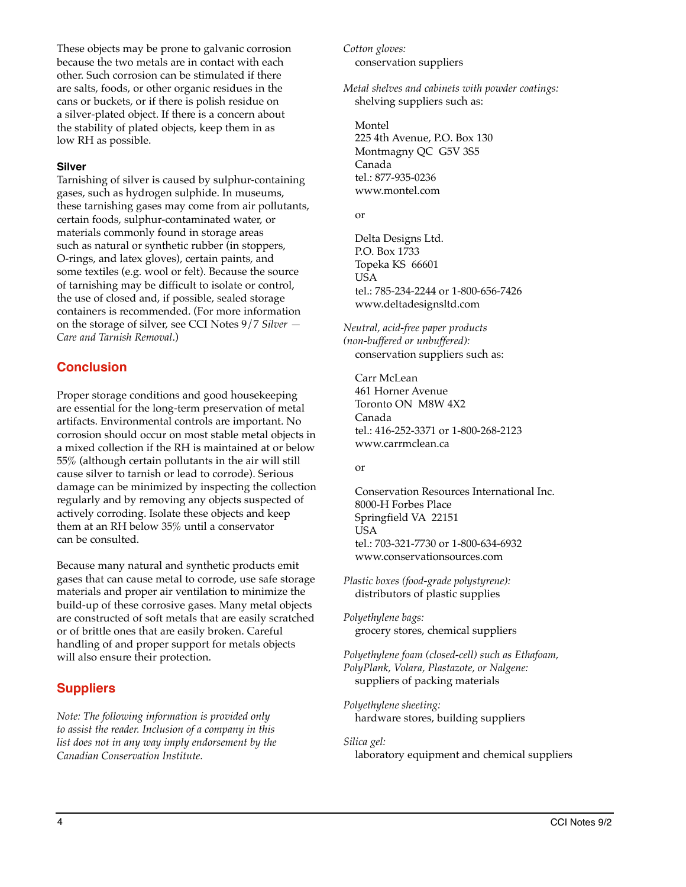These objects may be prone to galvanic corrosion because the two metals are in contact with each other. Such corrosion can be stimulated if there are salts, foods, or other organic residues in the cans or buckets, or if there is polish residue on a silver-plated object. If there is a concern about the stability of plated objects, keep them in as low RH as possible.

#### **Silver**

Tarnishing of silver is caused by sulphur-containing gases, such as hydrogen sulphide. In museums, these tarnishing gases may come from air pollutants, certain foods, sulphur-contaminated water, or materials commonly found in storage areas such as natural or synthetic rubber (in stoppers, O-rings, and latex gloves), certain paints, and some textiles (e.g. wool or felt). Because the source of tarnishing may be difficult to isolate or control, the use of closed and, if possible, sealed storage containers is recommended. (For more information on the storage of silver, see CCI Notes 9/7 *Silver — Care and Tarnish Removal*.)

## **Conclusion**

Proper storage conditions and good housekeeping are essential for the long-term preservation of metal artifacts. Environmental controls are important. No corrosion should occur on most stable metal objects in a mixed collection if the RH is maintained at or below 55% (although certain pollutants in the air will still cause silver to tarnish or lead to corrode). Serious damage can be minimized by inspecting the collection regularly and by removing any objects suspected of actively corroding. Isolate these objects and keep them at an RH below 35% until a conservator can be consulted.

Because many natural and synthetic products emit gases that can cause metal to corrode, use safe storage materials and proper air ventilation to minimize the build-up of these corrosive gases. Many metal objects are constructed of soft metals that are easily scratched or of brittle ones that are easily broken. Careful handling of and proper support for metals objects will also ensure their protection.

# **Suppliers**

*Note: The following information is provided only to assist the reader. Inclusion of a company in this list does not in any way imply endorsement by the Canadian Conservation Institute.*

*Cotton gloves:* conservation suppliers

*Metal shelves and cabinets with powder coatings:* shelving suppliers such as:

Montel 225 4th Avenue, P.O. Box 130 Montmagny QC G5V 3S5 Canada tel.: 877-935-0236 www.montel.com

#### or

Delta Designs Ltd. P.O. Box 1733 Topeka KS 66601 USA tel.: 785-234-2244 or 1-800-656-7426 www.deltadesignsltd.com

*Neutral, acid-free paper products (non-buffered or unbuffered):* conservation suppliers such as:

Carr McLean 461 Horner Avenue Toronto ON M8W 4X2 Canada tel.: 416-252-3371 or 1-800-268-2123 www.carrmclean.ca

or

Conservation Resources International Inc. 8000-H Forbes Place Springfield VA 22151 USA tel.: 703-321-7730 or 1-800-634-6932 www.conservationsources.com

*Plastic boxes (food-grade polystyrene):*  distributors of plastic supplies

*Polyethylene bags:* grocery stores, chemical suppliers

*Polyethylene foam (closed-cell) such as Ethafoam, PolyPlank, Volara, Plastazote, or Nalgene:* suppliers of packing materials

*Polyethylene sheeting:* hardware stores, building suppliers

*Silica gel:* laboratory equipment and chemical suppliers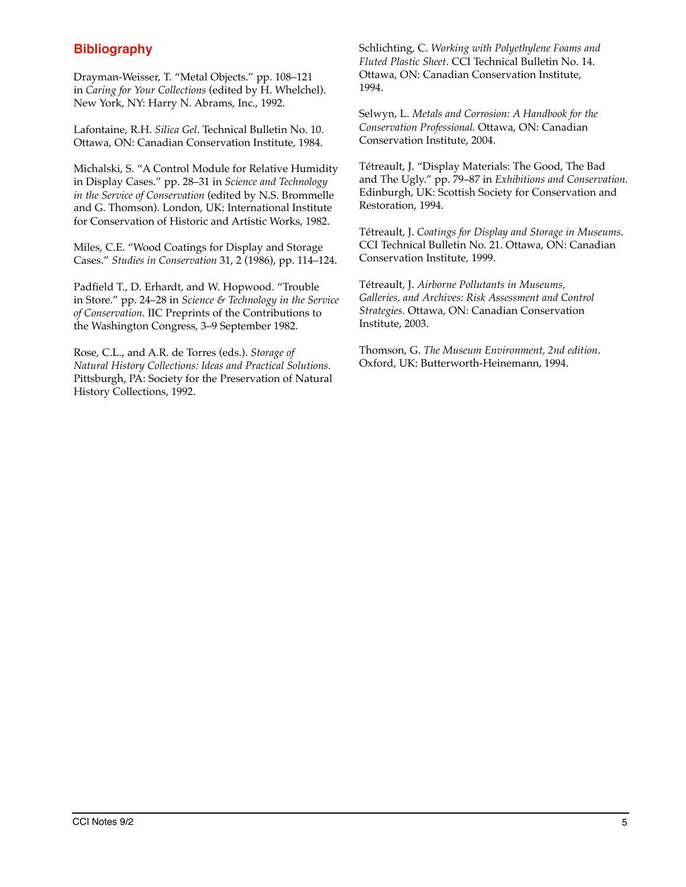# **Bibliography**

Drayman-Weisser, T. "Metal Objects." pp. 108–121 in *Caring for Your Collections* (edited by H. Whelchel). New York, NY: Harry N. Abrams, Inc., 1992.

Lafontaine, R.H. *Silica Gel*. Technical Bulletin No. 10. Ottawa, ON: Canadian Conservation Institute, 1984.

Michalski, S. "A Control Module for Relative Humidity in Display Cases." pp. 28–31 in *Science and Technology in the Service of Conservation* (edited by N.S. Brommelle and G. Thomson). London, UK: International Institute for Conservation of Historic and Artistic Works, 1982.

Miles, C.E. "Wood Coatings for Display and Storage Cases." *Studies in Conservation* 31, 2 (1986), pp. 114–124.

Padfield T., D. Erhardt, and W. Hopwood. "Trouble in Store." pp. 24–28 in *Science & Technology in the Service of Conservation*. IIC Preprints of the Contributions to the Washington Congress, 3–9 September 1982.

Rose, C.L., and A.R. de Torres (eds.). *Storage of Natural History Collections: Ideas and Practical Solutions*. Pittsburgh, PA: Society for the Preservation of Natural History Collections, 1992.

Schlichting, C. *Working with Polyethylene Foams and Fluted Plastic Sheet*. CCI Technical Bulletin No. 14. Ottawa, ON: Canadian Conservation Institute, 1994.

Selwyn, L. *Metals and Corrosion: A Handbook for the Conservation Professional*. Ottawa, ON: Canadian Conservation Institute, 2004.

Tétreault, J. "Display Materials: The Good, The Bad and The Ugly." pp. 79–87 in *Exhibitions and Conservation.* Edinburgh, UK: Scottish Society for Conservation and Restoration, 1994.

Tétreault, J. *Coatings for Display and Storage in Museums*. CCI Technical Bulletin No. 21. Ottawa, ON: Canadian Conservation Institute, 1999.

Tétreault, J. *Airborne Pollutants in Museums, Galleries, and Archives: Risk Assessment and Control Strategies.* Ottawa, ON: Canadian Conservation Institute, 2003.

Thomson, G. *The Museum Environment, 2nd edition*. Oxford, UK: Butterworth-Heinemann, 1994.